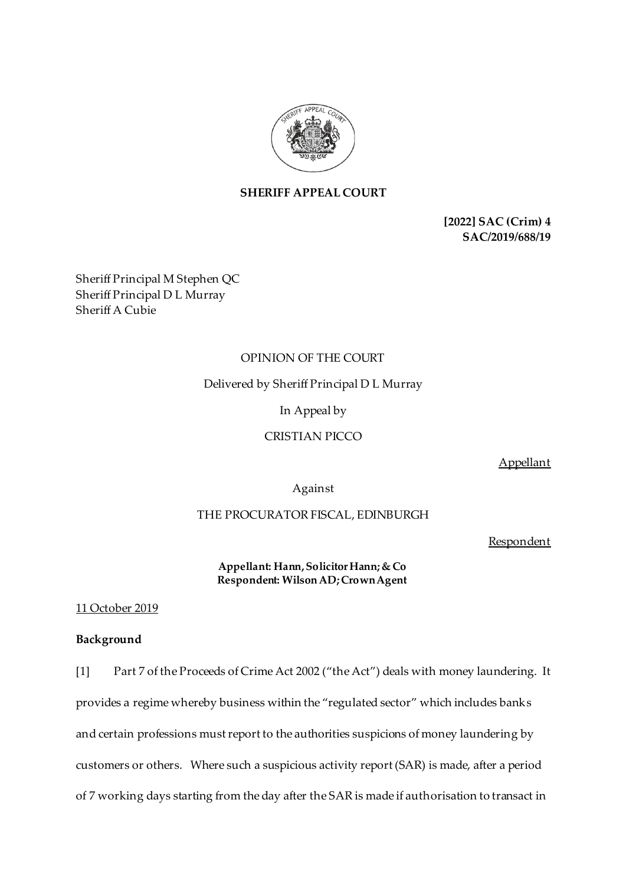

# **SHERIFF APPEAL COURT**

**[2022] SAC (Crim) 4 SAC/2019/688/19**

Sheriff Principal M Stephen QC Sheriff Principal D L Murray Sheriff A Cubie

## OPINION OF THE COURT

Delivered by Sheriff Principal D L Murray

In Appeal by

CRISTIAN PICCO

Appellant

Against

# THE PROCURATOR FISCAL, EDINBURGH

Respondent

**Appellant: Hann,Solicitor Hann;& Co Respondent: Wilson AD;Crown Agent**

#### 11 October 2019

# **Background**

[1] Part 7 of the Proceeds of Crime Act 2002 ("the Act") deals with money laundering. It provides a regime whereby business within the "regulated sector" which includes banks and certain professions must report to the authorities suspicions of money laundering by customers or others. Where such a suspicious activity report (SAR) is made, after a period of 7 working days starting from the day after the SAR is made if authorisation to transact in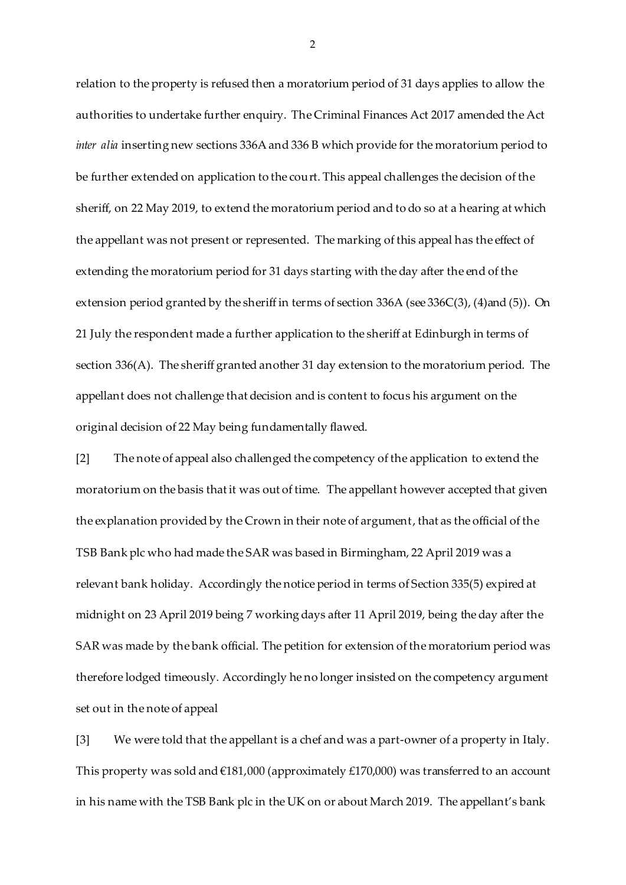relation to the property is refused then a moratorium period of 31 days applies to allow the authorities to undertake further enquiry. The Criminal Finances Act 2017 amended the Act *inter alia* inserting new sections 336A and 336 B which provide for the moratorium period to be further extended on application to the court. This appeal challenges the decision of the sheriff, on 22 May 2019, to extend the moratorium period and to do so at a hearing at which the appellant was not present or represented. The marking of this appeal has the effect of extending the moratorium period for 31 days starting with the day after the end of the extension period granted by the sheriff in terms of section 336A (see 336C(3), (4)and (5)). On 21 July the respondent made a further application to the sheriff at Edinburgh in terms of section 336(A). The sheriff granted another 31 day extension to the moratorium period. The appellant does not challenge that decision and is content to focus his argument on the original decision of 22 May being fundamentally flawed.

[2] The note of appeal also challenged the competency of the application to extend the moratorium on the basis that it was out of time. The appellant however accepted that given the explanation provided by the Crown in their note of argument, that as the official of the TSB Bank plc who had made the SAR was based in Birmingham, 22 April 2019 was a relevant bank holiday. Accordingly the notice period in terms of Section 335(5) expired at midnight on 23 April 2019 being 7 working days after 11 April 2019, being the day after the SAR was made by the bank official. The petition for extension of the moratorium period was therefore lodged timeously. Accordingly he no longer insisted on the competency argument set out in the note of appeal

[3] We were told that the appellant is a chef and was a part-owner of a property in Italy. This property was sold and  $£181,000$  (approximately £170,000) was transferred to an account in his name with the TSB Bank plc in the UK on or about March 2019. The appellant's bank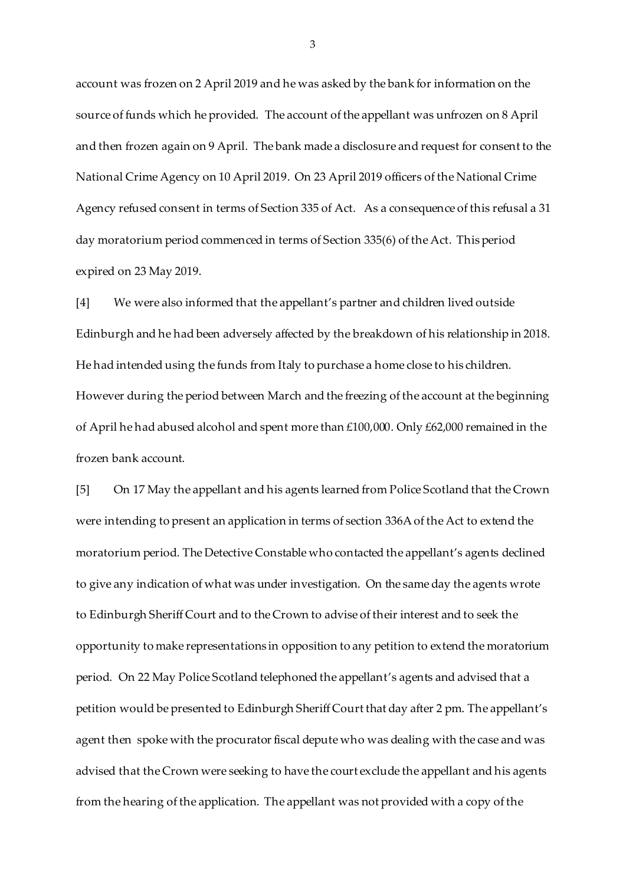account was frozen on 2 April 2019 and he was asked by the bank for information on the source of funds which he provided. The account of the appellant was unfrozen on 8 April and then frozen again on 9 April. The bank made a disclosure and request for consent to the National Crime Agency on 10 April 2019. On 23 April 2019 officers of the National Crime Agency refused consent in terms of Section 335 of Act. As a consequence of this refusal a 31 day moratorium period commenced in terms of Section 335(6) of the Act. This period expired on 23 May 2019.

[4] We were also informed that the appellant's partner and children lived outside Edinburgh and he had been adversely affected by the breakdown of his relationship in 2018. He had intended using the funds from Italy to purchase a home close to his children. However during the period between March and the freezing of the account at the beginning of April he had abused alcohol and spent more than £100,000. Only £62,000 remained in the frozen bank account.

[5] On 17 May the appellant and his agents learned from Police Scotland that the Crown were intending to present an application in terms of section 336A of the Act to extend the moratorium period. The Detective Constable who contacted the appellant's agents declined to give any indication of what was under investigation. On the same day the agents wrote to Edinburgh Sheriff Court and to the Crown to advise of their interest and to seek the opportunity to make representations in opposition to any petition to extend the moratorium period. On 22 May Police Scotland telephoned the appellant's agents and advised that a petition would be presented to Edinburgh Sheriff Court that day after 2 pm. The appellant's agent then spoke with the procurator fiscal depute who was dealing with the case and was advised that the Crown were seeking to have the court exclude the appellant and his agents from the hearing of the application. The appellant was not provided with a copy of the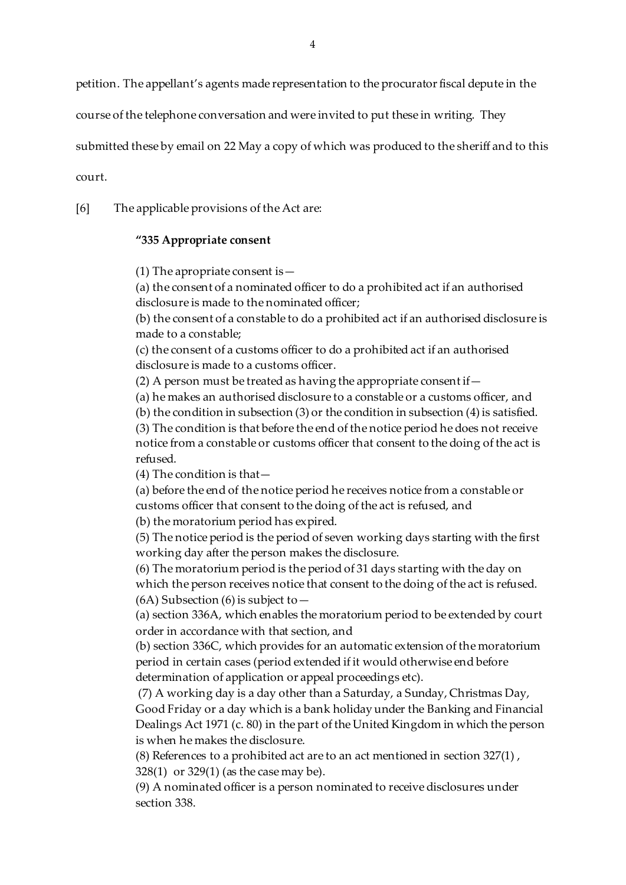petition. The appellant's agents made representation to the procurator fiscal depute in the

course of the telephone conversation and were invited to put these in writing. They

submitted these by email on 22 May a copy of which was produced to the sheriff and to this

court.

[6] The applicable provisions of the Act are:

# **"335 Appropriate consent**

(1) The apropriate consent is  $-$ 

(a) the consent of a nominated officer to do a prohibited act if an authorised disclosure is made to the nominated officer;

(b) the consent of a constable to do a prohibited act if an authorised disclosure is made to a constable;

(c) the consent of a customs officer to do a prohibited act if an authorised disclosure is made to a customs officer.

(2) A person must be treated as having the appropriate consent if—

(a) he makes an authorised disclosure to a constable or a customs officer, and

(b) the condition in subsection (3) or the condition in subsection (4) is satisfied.

(3) The condition is that before the end of the notice period he does not receive notice from a constable or customs officer that consent to the doing of the act is refused.

(4) The condition is that—

(a) before the end of the notice period he receives notice from a constable or customs officer that consent to the doing of the act is refused, and

(b) the moratorium period has expired.

(5) The notice period is the period of seven working days starting with the first working day after the person makes the disclosure.

(6) The moratorium period is the period of 31 days starting with the day on which the person receives notice that consent to the doing of the act is refused.  $(6A)$  Subsection  $(6)$  is subject to  $-$ 

(a[\) section 336A](https://login.westlaw.co.uk/maf/wluk/app/document?src=doc&linktype=ref&context=38&crumb-action=replace&docguid=I5C9603E0AFDC11E696A9FD2A9E5DC4E7), which enables the moratorium period to be extended by court order in accordance with that section, and

(b[\) section 336C](https://login.westlaw.co.uk/maf/wluk/app/document?src=doc&linktype=ref&context=38&crumb-action=replace&docguid=I51E95190AFDC11E696A9FD2A9E5DC4E7), which provides for an automatic extension of the moratorium period in certain cases (period extended if it would otherwise end before determination of application or appeal proceedings etc).

(7) A working day is a day other than a Saturday, a Sunday, Christmas Day, Good Friday or a day which is a bank holiday under th[e Banking and Financial](https://login.westlaw.co.uk/maf/wluk/app/document?src=doc&linktype=ref&context=38&crumb-action=replace&docguid=I605FF2A1E42311DAA7CF8F68F6EE57AB)  [Dealings Act 1971 \(c. 80\)](https://login.westlaw.co.uk/maf/wluk/app/document?src=doc&linktype=ref&context=38&crumb-action=replace&docguid=I605FF2A1E42311DAA7CF8F68F6EE57AB) in the part of the United Kingdom in which the person is when he makes the disclosure.

(8) References to a prohibited act are to an act mentioned i[n section 327\(1\)](https://login.westlaw.co.uk/maf/wluk/app/document?src=doc&linktype=ref&context=38&crumb-action=replace&docguid=I34A8A650E45211DA8D70A0E70A78ED65) , [328\(1\)](https://login.westlaw.co.uk/maf/wluk/app/document?src=doc&linktype=ref&context=38&crumb-action=replace&docguid=I34A9B7C0E45211DA8D70A0E70A78ED65) o[r 329\(1\)](https://login.westlaw.co.uk/maf/wluk/app/document?src=doc&linktype=ref&context=38&crumb-action=replace&docguid=I34AA5400E45211DA8D70A0E70A78ED65) (as the case may be).

(9) A nominated officer is a person nominated to receive disclosures under [section 338.](https://login.westlaw.co.uk/maf/wluk/app/document?src=doc&linktype=ref&context=38&crumb-action=replace&docguid=I34B68900E45211DA8D70A0E70A78ED65)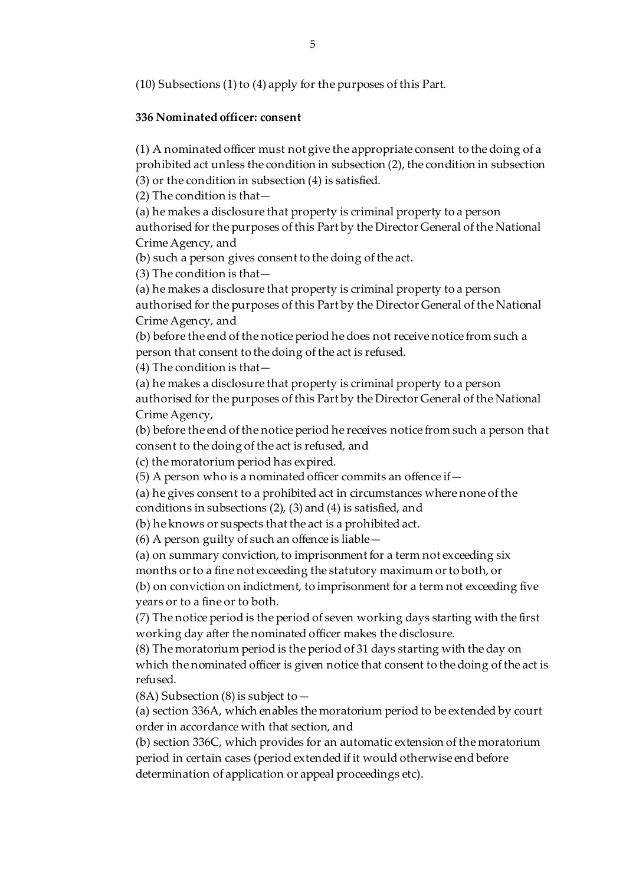(10) Subsections (1) to (4) apply for the purposes of this Part.

## **336 Nominated officer: consent**

(1) A nominated officer must not give the appropriate consent to the doing of a prohibited act unless the condition in subsection (2), the condition in subsection (3) or the condition in subsection (4) is satisfied.

(2) The condition is that—

(a) he makes a disclosure that property is criminal property to a person authorised for the purposes of this Part by the Director General of the National Crime Agency, and

(b) such a person gives consent to the doing of the act.

(3) The condition is that—

(a) he makes a disclosure that property is criminal property to a person authorised for the purposes of this Part by the Director General of the National Crime Agency, and

(b) before the end of the notice period he does not receive notice from such a person that consent to the doing of the act is refused.

(4) The condition is that—

(a) he makes a disclosure that property is criminal property to a person authorised for the purposes of this Part by the Director General of the National Crime Agency,

(b) before the end of the notice period he receives notice from such a person that consent to the doing of the act is refused, and

(c) the moratorium period has expired.

(5) A person who is a nominated officer commits an offence if—

(a) he gives consent to a prohibited act in circumstances where none of the conditions in subsections (2), (3) and (4) is satisfied, and

(b) he knows or suspects that the act is a prohibited act.

(6) A person guilty of such an offence is liable—

(a) on summary conviction, to imprisonment for a term not exceeding six

months or to a fine not exceeding the statutory maximum or to both, or

(b) on conviction on indictment, to imprisonment for a term not exceeding five years or to a fine or to both.

(7) The notice period is the period of seven working days starting with the first working day after the nominated officer makes the disclosure.

(8) The moratorium period is the period of 31 days starting with the day on which the nominated officer is given notice that consent to the doing of the act is refused.

(8A) Subsection (8) is subject to  $-$ 

(a[\) section 336A](https://login.westlaw.co.uk/maf/wluk/app/document?src=doc&linktype=ref&context=35&crumb-action=replace&docguid=I5C9603E0AFDC11E696A9FD2A9E5DC4E7), which enables the moratorium period to be extended by court order in accordance with that section, and

(b[\) section 336C](https://login.westlaw.co.uk/maf/wluk/app/document?src=doc&linktype=ref&context=35&crumb-action=replace&docguid=I51E95190AFDC11E696A9FD2A9E5DC4E7), which provides for an automatic extension of the moratorium period in certain cases (period extended if it would otherwise end before determination of application or appeal proceedings etc).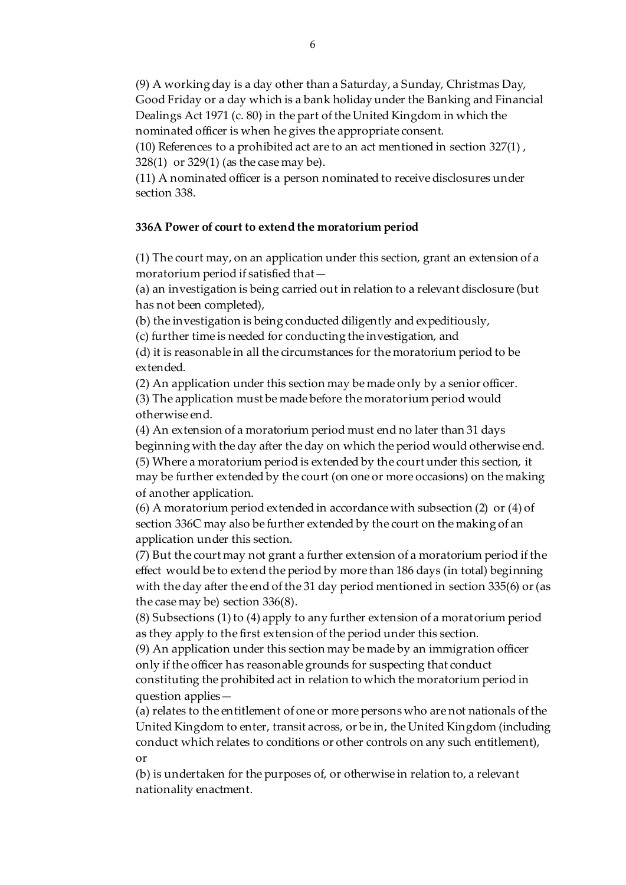(9) A working day is a day other than a Saturday, a Sunday, Christmas Day, Good Friday or a day which is a bank holiday under th[e Banking and Financial](https://login.westlaw.co.uk/maf/wluk/app/document?src=doc&linktype=ref&context=35&crumb-action=replace&docguid=I605FF2A1E42311DAA7CF8F68F6EE57AB)  [Dealings Act 1971 \(c. 80\)](https://login.westlaw.co.uk/maf/wluk/app/document?src=doc&linktype=ref&context=35&crumb-action=replace&docguid=I605FF2A1E42311DAA7CF8F68F6EE57AB) in the part of the United Kingdom in which the nominated officer is when he gives the appropriate consent.

(10) References to a prohibited act are to an act mentioned i[n section 327\(1\)](https://login.westlaw.co.uk/maf/wluk/app/document?src=doc&linktype=ref&context=35&crumb-action=replace&docguid=I34A8A650E45211DA8D70A0E70A78ED65) , [328\(1\)](https://login.westlaw.co.uk/maf/wluk/app/document?src=doc&linktype=ref&context=35&crumb-action=replace&docguid=I34A9B7C0E45211DA8D70A0E70A78ED65) o[r 329\(1\)](https://login.westlaw.co.uk/maf/wluk/app/document?src=doc&linktype=ref&context=35&crumb-action=replace&docguid=I34AA5400E45211DA8D70A0E70A78ED65) (as the case may be).

(11) A nominated officer is a person nominated to receive disclosures under [section 338.](https://login.westlaw.co.uk/maf/wluk/app/document?src=doc&linktype=ref&context=35&crumb-action=replace&docguid=I34B68900E45211DA8D70A0E70A78ED65)

## **336A Power of court to extend the moratorium period**

(1) The court may, on an application under this section, grant an extension of a moratorium period if satisfied that—

(a) an investigation is being carried out in relation to a relevant disclosure (but has not been completed),

(b) the investigation is being conducted diligently and expeditiously,

(c) further time is needed for conducting the investigation, and

(d) it is reasonable in all the circumstances for the moratorium period to be extended.

(2) An application under this section may be made only by a senior officer. (3) The application must be made before the moratorium period would

otherwise end.

(4) An extension of a moratorium period must end no later than 31 days beginning with the day after the day on which the period would otherwise end. (5) Where a moratorium period is extended by the court under this section, it may be further extended by the court (on one or more occasions) on the making of another application.

(6) A moratorium period extended in accordance wit[h subsection \(2\)](https://login.westlaw.co.uk/maf/wluk/app/document?src=doc&linktype=ref&context=28&crumb-action=replace&docguid=I51E95190AFDC11E696A9FD2A9E5DC4E7) o[r \(4\) of](https://login.westlaw.co.uk/maf/wluk/app/document?src=doc&linktype=ref&context=28&crumb-action=replace&docguid=I51E95190AFDC11E696A9FD2A9E5DC4E7)  [section](https://login.westlaw.co.uk/maf/wluk/app/document?src=doc&linktype=ref&context=28&crumb-action=replace&docguid=I51E95190AFDC11E696A9FD2A9E5DC4E7) 336C may also be further extended by the court on the making of an application under this section.

(7) But the court may not grant a further extension of a moratorium period if the effect would be to extend the period by more than 186 days (in total) beginning with the day after the end of the 31 day period mentioned i[n section 335\(6\)](https://login.westlaw.co.uk/maf/wluk/app/document?src=doc&linktype=ref&context=28&crumb-action=replace&docguid=I0E40E350E44911DA8D70A0E70A78ED65) or (as the case may be) [section 336\(8\)](https://login.westlaw.co.uk/maf/wluk/app/document?src=doc&linktype=ref&context=28&crumb-action=replace&docguid=I0E410A60E44911DA8D70A0E70A78ED65).

(8) Subsections (1) to (4) apply to any further extension of a moratorium period as they apply to the first extension of the period under this section.

(9) An application under this section may be made by an immigration officer only if the officer has reasonable grounds for suspecting that conduct constituting the prohibited act in relation to which the moratorium period in question applies—

(a) relates to the entitlement of one or more persons who are not nationals of the United Kingdom to enter, transit across, or be in, the United Kingdom (including conduct which relates to conditions or other controls on any such entitlement), or

(b) is undertaken for the purposes of, or otherwise in relation to, a relevant nationality enactment.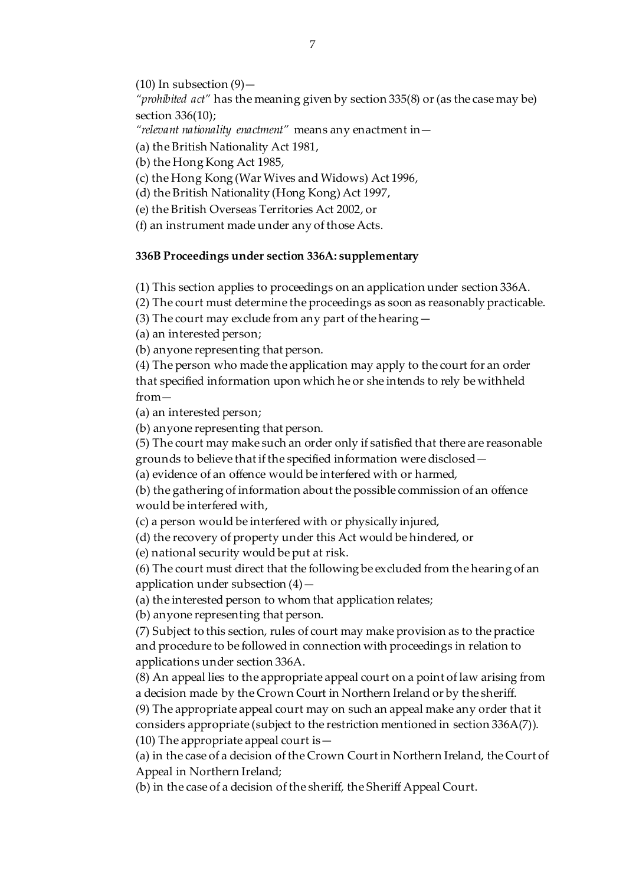(10) In subsection  $(9)$  -

*"prohibited act"* has the meaning given b[y section 335\(8\)](https://login.westlaw.co.uk/maf/wluk/app/document?src=doc&linktype=ref&context=28&crumb-action=replace&docguid=I0E40E350E44911DA8D70A0E70A78ED65) or (as the case may be) [section 336\(10\);](https://login.westlaw.co.uk/maf/wluk/app/document?src=doc&linktype=ref&context=28&crumb-action=replace&docguid=I0E410A60E44911DA8D70A0E70A78ED65)

*"relevant nationality enactment"* means any enactment in—

(a) th[e British Nationality Act 1981](https://login.westlaw.co.uk/maf/wluk/app/document?src=doc&linktype=ref&context=28&crumb-action=replace&docguid=I602C1160E42311DAA7CF8F68F6EE57AB),

(b) th[e Hong Kong Act 1985](https://login.westlaw.co.uk/maf/wluk/app/document?src=doc&linktype=ref&context=28&crumb-action=replace&docguid=I60161860E42311DAA7CF8F68F6EE57AB),

(c) th[e Hong Kong \(War Wives and Widows\) Act 1996](https://login.westlaw.co.uk/maf/wluk/app/document?src=doc&linktype=ref&context=28&crumb-action=replace&docguid=I5FC78331E42311DAA7CF8F68F6EE57AB),

(d) th[e British Nationality \(Hong Kong\) Act 1997](https://login.westlaw.co.uk/maf/wluk/app/document?src=doc&linktype=ref&context=28&crumb-action=replace&docguid=I5FBC1180E42311DAA7CF8F68F6EE57AB),

(e) th[e British Overseas Territories Act 2002](https://login.westlaw.co.uk/maf/wluk/app/document?src=doc&linktype=ref&context=28&crumb-action=replace&docguid=I5F9DDB21E42311DAA7CF8F68F6EE57AB), or

(f) an instrument made under any of those Acts.

### **336B Proceedings under section 336A: supplementary**

(1) This section applies to proceedings on an application unde[r section 336A](https://login.westlaw.co.uk/maf/wluk/app/document?src=doc&linktype=ref&context=21&crumb-action=replace&docguid=I5C9603E0AFDC11E696A9FD2A9E5DC4E7).

(2) The court must determine the proceedings as soon as reasonably practicable.

(3) The court may exclude from any part of the hearing—

(a) an interested person;

(b) anyone representing that person.

(4) The person who made the application may apply to the court for an order that specified information upon which he or she intends to rely be withheld from—

(a) an interested person;

(b) anyone representing that person.

(5) The court may make such an order only if satisfied that there are reasonable

grounds to believe that if the specified information were disclosed—

(a) evidence of an offence would be interfered with or harmed,

(b) the gathering of information about the possible commission of an offence would be interfered with,

(c) a person would be interfered with or physically injured,

(d) the recovery of property under this Act would be hindered, or

(e) national security would be put at risk.

(6) The court must direct that the following be excluded from the hearing of an application under subsection  $(4)$  –

(a) the interested person to whom that application relates;

(b) anyone representing that person.

(7) Subject to this section, rules of court may make provision as to the practice and procedure to be followed in connection with proceedings in relation to applications unde[r section 336A](https://login.westlaw.co.uk/maf/wluk/app/document?src=doc&linktype=ref&context=21&crumb-action=replace&docguid=I5C9603E0AFDC11E696A9FD2A9E5DC4E7).

(8) An appeal lies to the appropriate appeal court on a point of law arising from a decision made by the Crown Court in Northern Ireland or by the sheriff.

(9) The appropriate appeal court may on such an appeal make any order that it considers appropriate (subject to the restriction mentioned i[n section 336A\(7\)](https://login.westlaw.co.uk/maf/wluk/app/document?src=doc&linktype=ref&context=21&crumb-action=replace&docguid=I5C9603E0AFDC11E696A9FD2A9E5DC4E7)). (10) The appropriate appeal court is  $-$ 

(a) in the case of a decision of the Crown Court in Northern Ireland, the Court of Appeal in Northern Ireland;

(b) in the case of a decision of the sheriff, the Sheriff Appeal Court.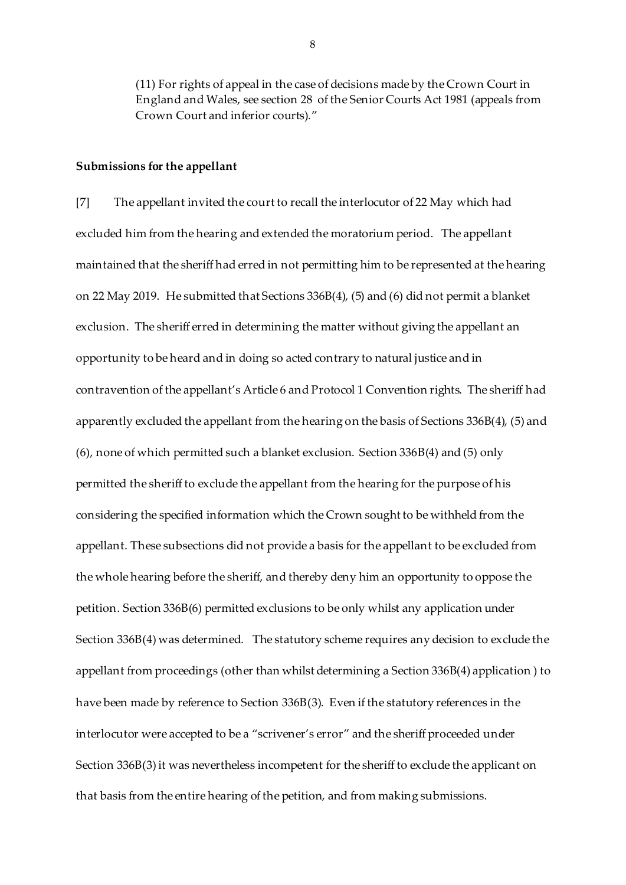(11) For rights of appeal in the case of decisions made by the Crown Court in England and Wales, se[e section 28](https://login.westlaw.co.uk/maf/wluk/app/document?src=doc&linktype=ref&context=21&crumb-action=replace&docguid=I0C51A100E44A11DA8D70A0E70A78ED65) of th[e Senior Courts Act 1981](https://login.westlaw.co.uk/maf/wluk/app/document?src=doc&linktype=ref&context=21&crumb-action=replace&docguid=I6030F360E42311DAA7CF8F68F6EE57AB) (appeals from Crown Court and inferior courts)."

#### **Submissions for the appellant**

[7] The appellant invited the court to recall the interlocutor of 22 May which had excluded him from the hearing and extended the moratorium period. The appellant maintained that the sheriff had erred in not permitting him to be represented at the hearing on 22 May 2019. He submitted that Sections 336B(4), (5) and (6) did not permit a blanket exclusion. The sheriff erred in determining the matter without giving the appellant an opportunity to be heard and in doing so acted contrary to natural justice and in contravention of the appellant's Article 6 and Protocol 1 Convention rights. The sheriff had apparently excluded the appellant from the hearing on the basis of Sections 336B(4), (5) and (6), none of which permitted such a blanket exclusion. Section 336B(4) and (5) only permitted the sheriff to exclude the appellant from the hearing for the purpose of his considering the specified information which the Crown sought to be withheld from the appellant. These subsections did not provide a basis for the appellant to be excluded from the whole hearing before the sheriff, and thereby deny him an opportunity to oppose the petition. Section 336B(6) permitted exclusions to be only whilst any application under Section 336B(4) was determined. The statutory scheme requires any decision to exclude the appellant from proceedings (other than whilst determining a Section 336B(4) application ) to have been made by reference to Section 336B(3). Even if the statutory references in the interlocutor were accepted to be a "scrivener's error" and the sheriff proceeded under Section 336B(3) it was nevertheless incompetent for the sheriff to exclude the applicant on that basis from the entire hearing of the petition, and from making submissions.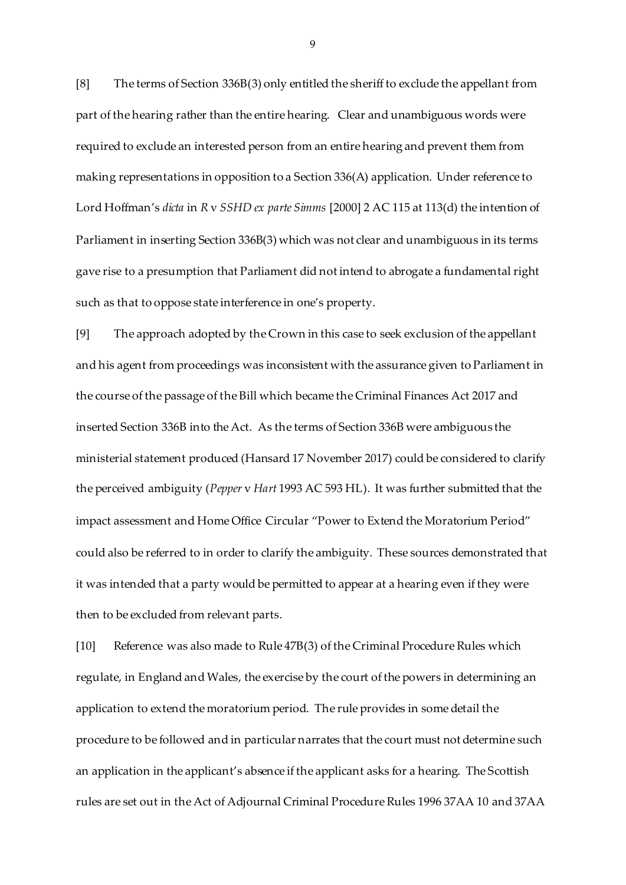[8] The terms of Section 336B(3) only entitled the sheriff to exclude the appellant from part of the hearing rather than the entire hearing. Clear and unambiguous words were required to exclude an interested person from an entire hearing and prevent them from making representations in opposition to a Section 336(A) application. Under reference to Lord Hoffman's *dicta* in *R* v *SSHD ex parte Simms* [2000] 2 AC 115 at 113(d) the intention of Parliament in inserting Section 336B(3) which was not clear and unambiguous in its terms gave rise to a presumption that Parliament did not intend to abrogate a fundamental right such as that to oppose state interference in one's property.

[9] The approach adopted by the Crown in this case to seek exclusion of the appellant and his agent from proceedings was inconsistent with the assurance given to Parliament in the course of the passage of the Bill which became the Criminal Finances Act 2017 and inserted Section 336B into the Act. As the terms of Section 336B were ambiguous the ministerial statement produced (Hansard 17 November 2017) could be considered to clarify the perceived ambiguity (*Pepper* v *Hart* 1993 AC 593 HL). It was further submitted that the impact assessment and Home Office Circular "Power to Extend the Moratorium Period" could also be referred to in order to clarify the ambiguity. These sources demonstrated that it was intended that a party would be permitted to appear at a hearing even if they were then to be excluded from relevant parts.

[10] Reference was also made to Rule 47B(3) of the Criminal Procedure Rules which regulate, in England and Wales, the exercise by the court of the powers in determining an application to extend the moratorium period. The rule provides in some detail the procedure to be followed and in particular narrates that the court must not determine such an application in the applicant's absence if the applicant asks for a hearing. The Scottish rules are set out in the Act of Adjournal Criminal Procedure Rules 1996 37AA 10 and 37AA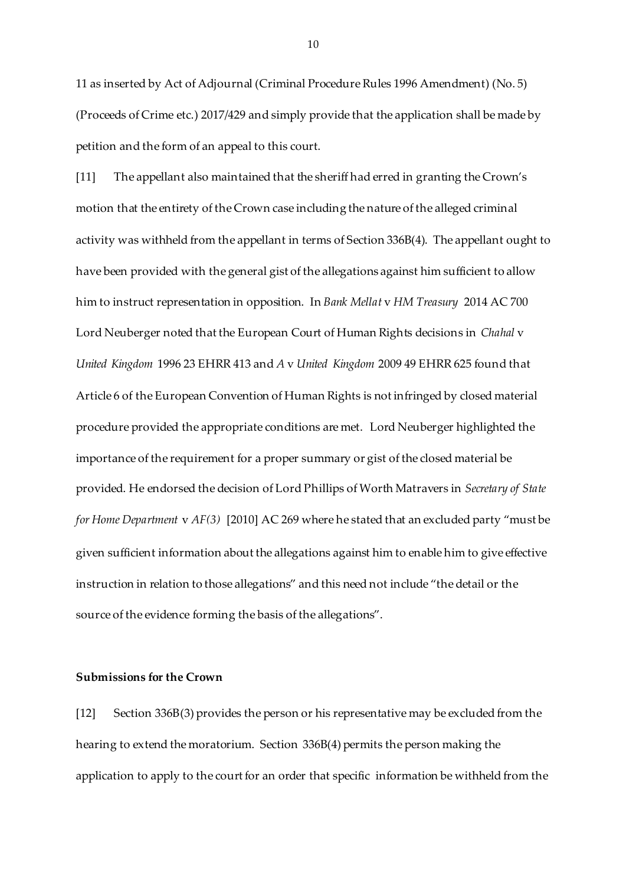11 as inserted by Act of Adjournal (Criminal Procedure Rules 1996 Amendment) (No. 5) (Proceeds of Crime etc.) 2017/429 and simply provide that the application shall be made by petition and the form of an appeal to this court.

[11] The appellant also maintained that the sheriff had erred in granting the Crown's motion that the entirety of the Crown case including the nature of the alleged criminal activity was withheld from the appellant in terms of Section 336B(4). The appellant ought to have been provided with the general gist of the allegations against him sufficient to allow him to instruct representation in opposition. In *Bank Mellat* v *HM Treasury* 2014 AC 700 Lord Neuberger noted that the European Court of Human Rights decisions in *Chahal* v *United Kingdom* 1996 23 EHRR 413 and *A* v *United Kingdom* 2009 49 EHRR 625 found that Article 6 of the European Convention of Human Rights is not infringed by closed material procedure provided the appropriate conditions are met. Lord Neuberger highlighted the importance of the requirement for a proper summary or gist of the closed material be provided. He endorsed the decision of Lord Phillips of Worth Matravers in *Secretary of State for Home Department* v *AF(3)* [2010] AC 269 where he stated that an excluded party "must be given sufficient information about the allegations against him to enable him to give effective instruction in relation to those allegations" and this need not include "the detail or the source of the evidence forming the basis of the allegations".

#### **Submissions for the Crown**

[12] Section 336B(3) provides the person or his representative may be excluded from the hearing to extend the moratorium. Section 336B(4) permits the person making the application to apply to the court for an order that specific information be withheld from the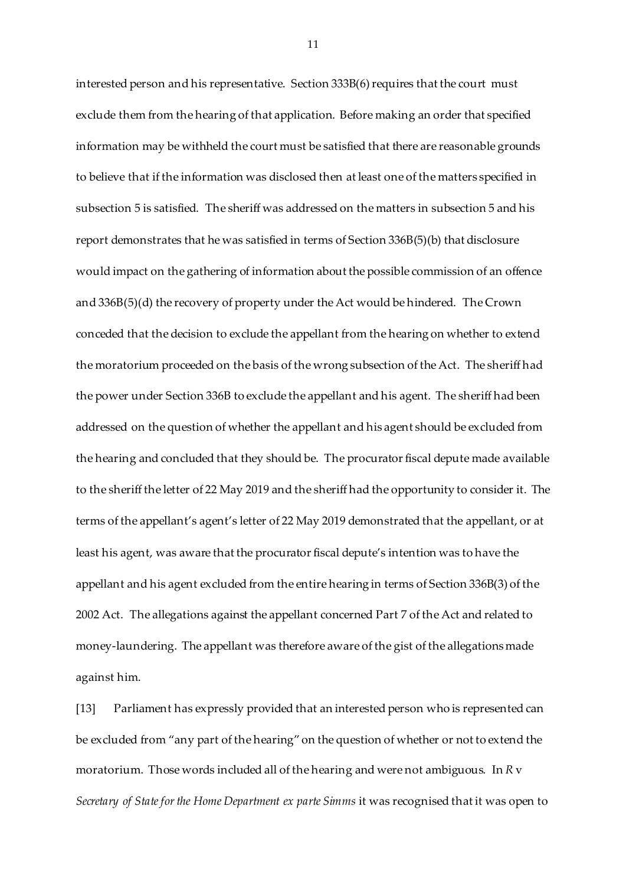interested person and his representative. Section 333B(6) requires that the court must exclude them from the hearing of that application. Before making an order that specified information may be withheld the court must be satisfied that there are reasonable grounds to believe that if the information was disclosed then at least one of the matters specified in subsection 5 is satisfied. The sheriff was addressed on the matters in subsection 5 and his report demonstrates that he was satisfied in terms of Section 336B(5)(b) that disclosure would impact on the gathering of information about the possible commission of an offence and 336B(5)(d) the recovery of property under the Act would be hindered. The Crown conceded that the decision to exclude the appellant from the hearing on whether to extend the moratorium proceeded on the basis of the wrong subsection of the Act. The sheriff had the power under Section 336B to exclude the appellant and his agent. The sheriff had been addressed on the question of whether the appellant and his agent should be excluded from the hearing and concluded that they should be. The procurator fiscal depute made available to the sheriff the letter of 22 May 2019 and the sheriff had the opportunity to consider it. The terms of the appellant's agent's letter of 22 May 2019 demonstrated that the appellant, or at least his agent, was aware that the procurator fiscal depute's intention was to have the appellant and his agent excluded from the entire hearing in terms of Section 336B(3) of the 2002 Act. The allegations against the appellant concerned Part 7 of the Act and related to money-laundering. The appellant was therefore aware of the gist of the allegations made against him.

[13] Parliament has expressly provided that an interested person who is represented can be excluded from "any part of the hearing" on the question of whether or not to extend the moratorium. Those words included all of the hearing and were not ambiguous. In *R* v *Secretary of State for the Home Department ex parte Simms* it was recognised that it was open to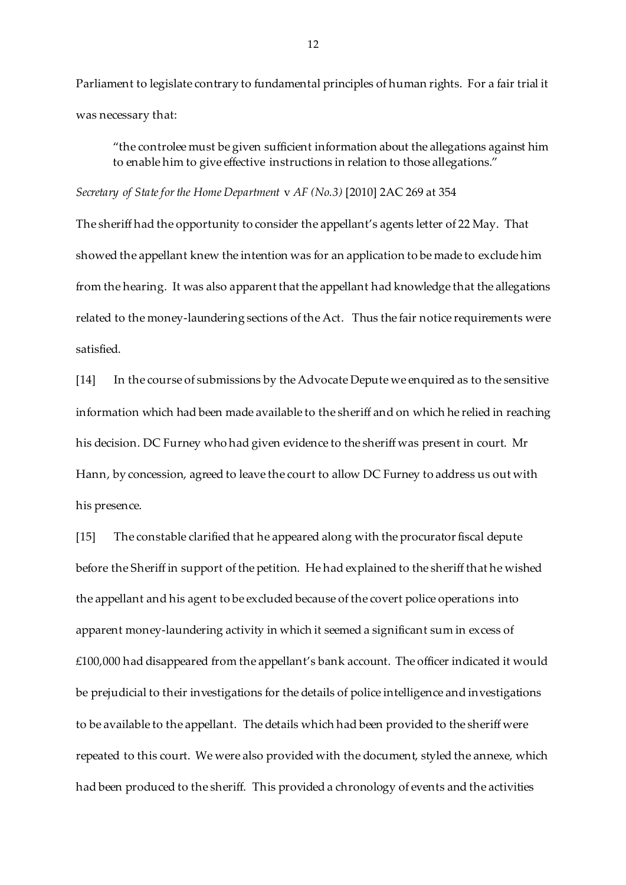Parliament to legislate contrary to fundamental principles of human rights. For a fair trial it was necessary that:

"the controlee must be given sufficient information about the allegations against him to enable him to give effective instructions in relation to those allegations."

*Secretary of State for the Home Department* v *AF (No.3)* [2010] 2AC 269 at 354

The sheriff had the opportunity to consider the appellant's agents letter of 22 May. That showed the appellant knew the intention was for an application to be made to exclude him from the hearing. It was also apparent that the appellant had knowledge that the allegations related to the money-laundering sections of the Act. Thus the fair notice requirements were satisfied.

[14] In the course of submissions by the Advocate Depute we enquired as to the sensitive information which had been made available to the sheriff and on which he relied in reaching his decision. DC Furney who had given evidence to the sheriff was present in court. Mr Hann, by concession, agreed to leave the court to allow DC Furney to address us out with his presence.

[15] The constable clarified that he appeared along with the procurator fiscal depute before the Sheriff in support of the petition. He had explained to the sheriff that he wished the appellant and his agent to be excluded because of the covert police operations into apparent money-laundering activity in which it seemed a significant sum in excess of £100,000 had disappeared from the appellant's bank account. The officer indicated it would be prejudicial to their investigations for the details of police intelligence and investigations to be available to the appellant. The details which had been provided to the sheriff were repeated to this court. We were also provided with the document, styled the annexe, which had been produced to the sheriff. This provided a chronology of events and the activities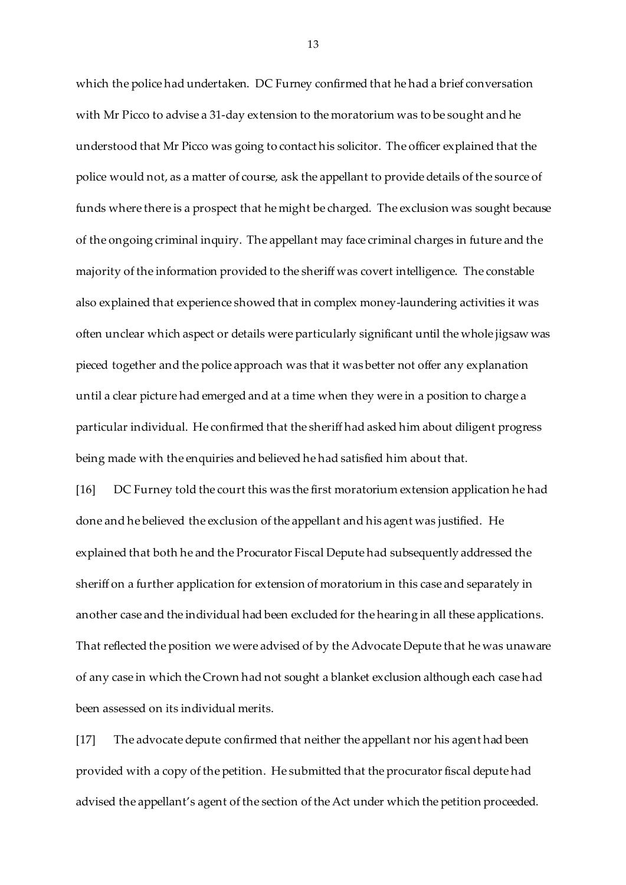which the police had undertaken. DC Furney confirmed that he had a brief conversation with Mr Picco to advise a 31-day extension to the moratorium was to be sought and he understood that Mr Picco was going to contact his solicitor. The officer explained that the police would not, as a matter of course, ask the appellant to provide details of the source of funds where there is a prospect that he might be charged. The exclusion was sought because of the ongoing criminal inquiry. The appellant may face criminal charges in future and the majority of the information provided to the sheriff was covert intelligence. The constable also explained that experience showed that in complex money-laundering activities it was often unclear which aspect or details were particularly significant until the whole jigsaw was pieced together and the police approach was that it was better not offer any explanation until a clear picture had emerged and at a time when they were in a position to charge a particular individual. He confirmed that the sheriff had asked him about diligent progress being made with the enquiries and believed he had satisfied him about that.

[16] DC Furney told the court this was the first moratorium extension application he had done and he believed the exclusion of the appellant and his agent was justified. He explained that both he and the Procurator Fiscal Depute had subsequently addressed the sheriff on a further application for extension of moratorium in this case and separately in another case and the individual had been excluded for the hearing in all these applications. That reflected the position we were advised of by the Advocate Depute that he was unaware of any case in which the Crown had not sought a blanket exclusion although each case had been assessed on its individual merits.

[17] The advocate depute confirmed that neither the appellant nor his agent had been provided with a copy of the petition. He submitted that the procurator fiscal depute had advised the appellant's agent of the section of the Act under which the petition proceeded.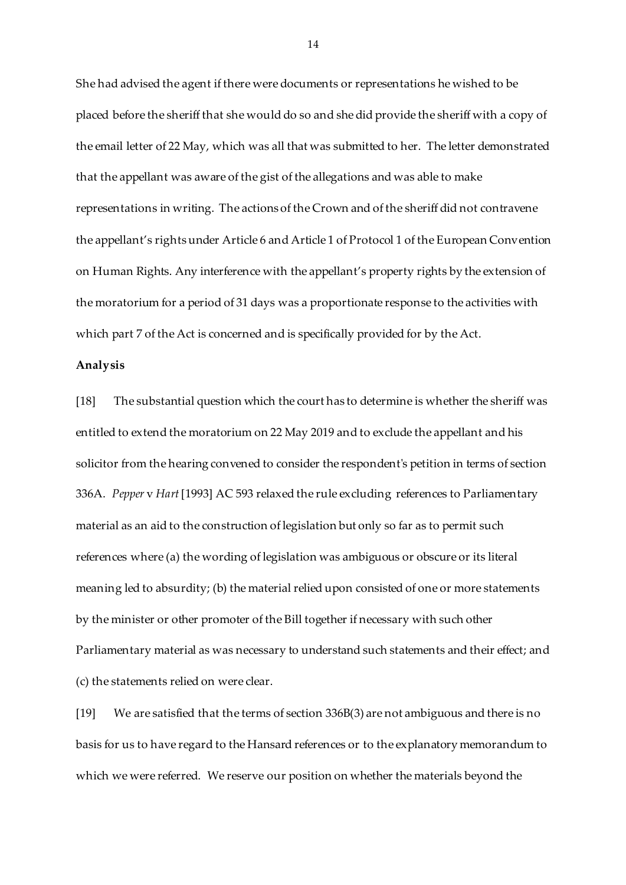She had advised the agent if there were documents or representations he wished to be placed before the sheriff that she would do so and she did provide the sheriff with a copy of the email letter of 22 May, which was all that was submitted to her. The letter demonstrated that the appellant was aware of the gist of the allegations and was able to make representations in writing. The actions of the Crown and of the sheriff did not contravene the appellant's rights under Article 6 and Article 1 of Protocol 1 of the European Convention on Human Rights. Any interference with the appellant's property rights by the extension of the moratorium for a period of 31 days was a proportionate response to the activities with which part 7 of the Act is concerned and is specifically provided for by the Act.

#### **Analysis**

[18] The substantial question which the court has to determine is whether the sheriff was entitled to extend the moratorium on 22 May 2019 and to exclude the appellant and his solicitor from the hearing convened to consider the respondent's petition in terms of section 336A. *Pepper* v *Hart* [1993] AC 593 relaxed the rule excluding references to Parliamentary material as an aid to the construction of legislation but only so far as to permit such references where (a) the wording of legislation was ambiguous or obscure or its literal meaning led to absurdity; (b) the material relied upon consisted of one or more statements by the minister or other promoter of the Bill together if necessary with such other Parliamentary material as was necessary to understand such statements and their effect; and (c) the statements relied on were clear.

[19] We are satisfied that the terms of section 336B(3) are not ambiguous and there is no basis for us to have regard to the Hansard references or to the explanatory memorandum to which we were referred. We reserve our position on whether the materials beyond the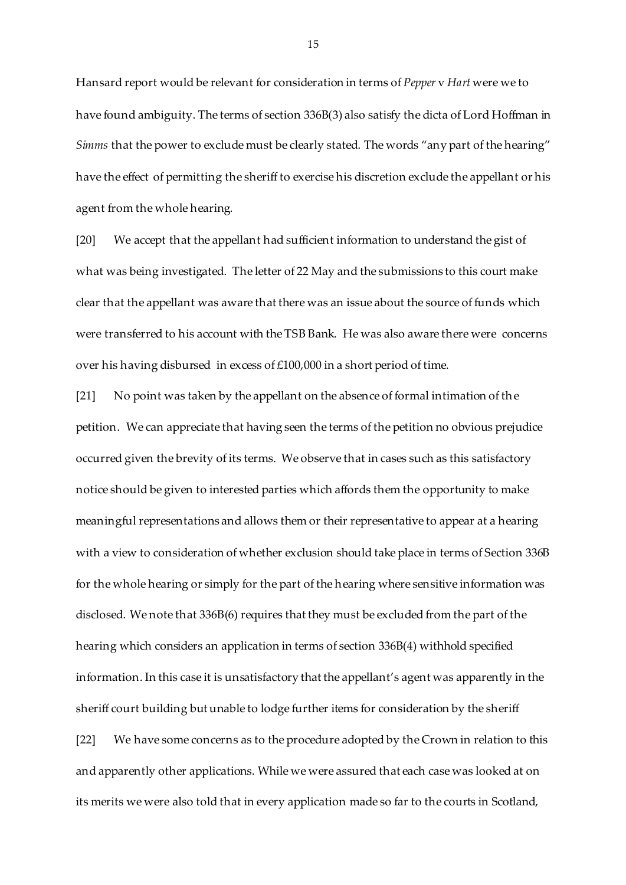Hansard report would be relevant for consideration in terms of *Pepper* v *Hart* were we to have found ambiguity. The terms of section 336B(3) also satisfy the dicta of Lord Hoffman in *Simms* that the power to exclude must be clearly stated. The words "any part of the hearing" have the effect of permitting the sheriff to exercise his discretion exclude the appellant or his agent from the whole hearing.

[20] We accept that the appellant had sufficient information to understand the gist of what was being investigated. The letter of 22 May and the submissions to this court make clear that the appellant was aware that there was an issue about the source of funds which were transferred to his account with the TSB Bank. He was also aware there were concerns over his having disbursed in excess of £100,000 in a short period of time.

[21] No point was taken by the appellant on the absence of formal intimation of the petition. We can appreciate that having seen the terms of the petition no obvious prejudice occurred given the brevity of its terms. We observe that in cases such as this satisfactory notice should be given to interested parties which affords them the opportunity to make meaningful representations and allows them or their representative to appear at a hearing with a view to consideration of whether exclusion should take place in terms of Section 336B for the whole hearing or simply for the part of the hearing where sensitive information was disclosed. We note that 336B(6) requires that they must be excluded from the part of the hearing which considers an application in terms of section 336B(4) withhold specified information. In this case it is unsatisfactory that the appellant's agent was apparently in the sheriff court building but unable to lodge further items for consideration by the sheriff [22] We have some concerns as to the procedure adopted by the Crown in relation to this and apparently other applications. While we were assured that each case was looked at on

its merits we were also told that in every application made so far to the courts in Scotland,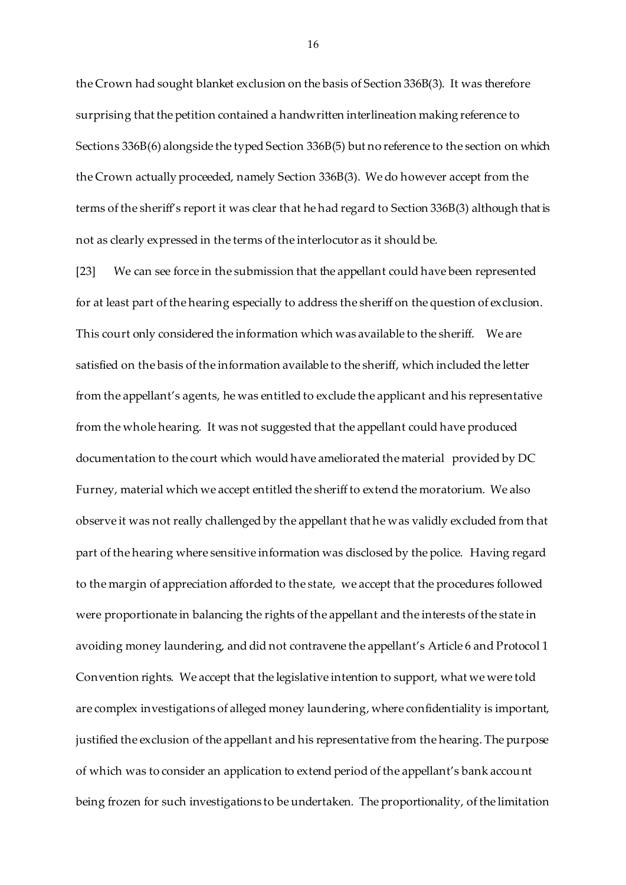the Crown had sought blanket exclusion on the basis of Section 336B(3). It was therefore surprising that the petition contained a handwritten interlineation making reference to Sections 336B(6) alongside the typed Section 336B(5) but no reference to the section on which the Crown actually proceeded, namely Section 336B(3). We do however accept from the terms of the sheriff's report it was clear that he had regard to Section 336B(3) although that is not as clearly expressed in the terms of the interlocutor as it should be.

[23] We can see force in the submission that the appellant could have been represented for at least part of the hearing especially to address the sheriff on the question of exclusion. This court only considered the information which was available to the sheriff. We are satisfied on the basis of the information available to the sheriff, which included the letter from the appellant's agents, he was entitled to exclude the applicant and his representative from the whole hearing. It was not suggested that the appellant could have produced documentation to the court which would have ameliorated the material provided by DC Furney, material which we accept entitled the sheriff to extend the moratorium. We also observe it was not really challenged by the appellant that he was validly excluded from that part of the hearing where sensitive information was disclosed by the police. Having regard to the margin of appreciation afforded to the state, we accept that the procedures followed were proportionate in balancing the rights of the appellant and the interests of the state in avoiding money laundering, and did not contravene the appellant's Article 6 and Protocol 1 Convention rights. We accept that the legislative intention to support, what we were told are complex investigations of alleged money laundering, where confidentiality is important, justified the exclusion of the appellant and his representative from the hearing. The purpose of which was to consider an application to extend period of the appellant's bank account being frozen for such investigations to be undertaken. The proportionality, of the limitation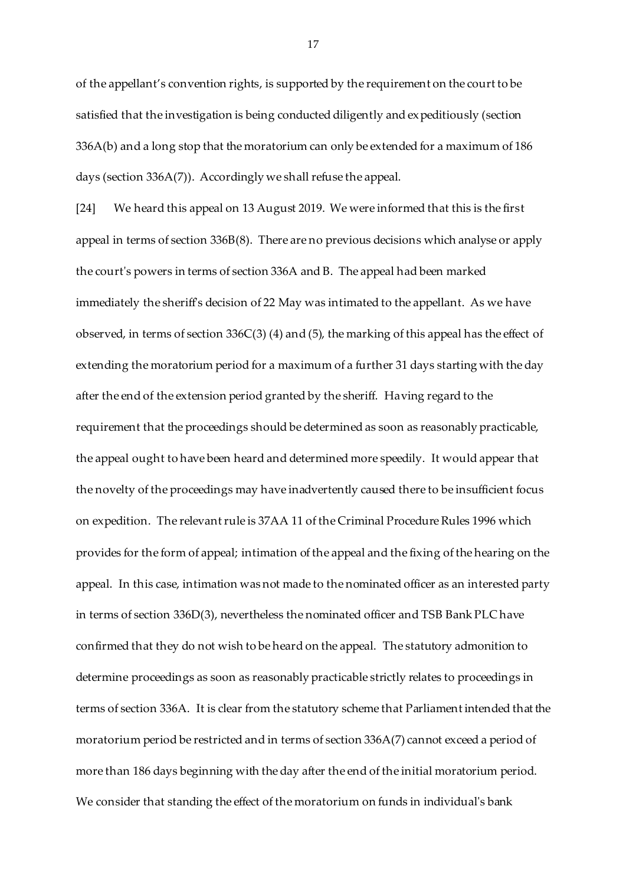of the appellant's convention rights, is supported by the requirement on the court to be satisfied that the investigation is being conducted diligently and expeditiously (section 336A(b) and a long stop that the moratorium can only be extended for a maximum of 186 days (section 336A(7)). Accordingly we shall refuse the appeal.

[24] We heard this appeal on 13 August 2019. We were informed that this is the first appeal in terms of section 336B(8). There are no previous decisions which analyse or apply the court's powers in terms of section 336A and B. The appeal had been marked immediately the sheriff's decision of 22 May was intimated to the appellant. As we have observed, in terms of section 336C(3) (4) and (5), the marking of this appeal has the effect of extending the moratorium period for a maximum of a further 31 days starting with the day after the end of the extension period granted by the sheriff. Having regard to the requirement that the proceedings should be determined as soon as reasonably practicable, the appeal ought to have been heard and determined more speedily. It would appear that the novelty of the proceedings may have inadvertently caused there to be insufficient focus on expedition. The relevant rule is 37AA 11 of the Criminal Procedure Rules 1996 which provides for the form of appeal; intimation of the appeal and the fixing of the hearing on the appeal. In this case, intimation was not made to the nominated officer as an interested party in terms of section 336D(3), nevertheless the nominated officer and TSB Bank PLC have confirmed that they do not wish to be heard on the appeal. The statutory admonition to determine proceedings as soon as reasonably practicable strictly relates to proceedings in terms of section 336A. It is clear from the statutory scheme that Parliament intended that the moratorium period be restricted and in terms of section 336A(7) cannot exceed a period of more than 186 days beginning with the day after the end of the initial moratorium period. We consider that standing the effect of the moratorium on funds in individual's bank